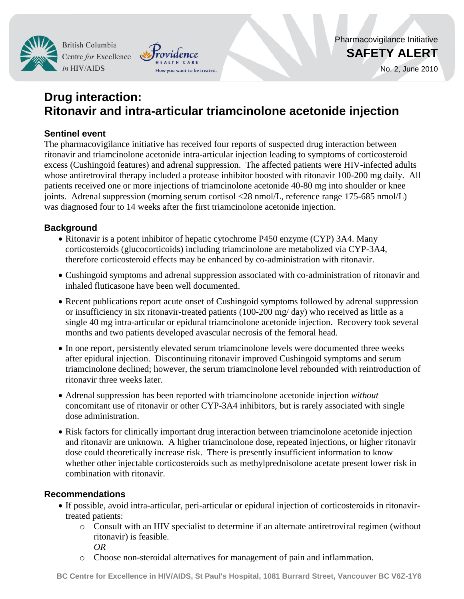**British Columbia** Centre for Excellence in HIV/AIDS



# **Drug interaction: Ritonavir and intra-articular triamcinolone acetonide injection**

## **Sentinel event**

The pharmacovigilance initiative has received four reports of suspected drug interaction between ritonavir and triamcinolone acetonide intra-articular injection leading to symptoms of corticosteroid excess (Cushingoid features) and adrenal suppression. The affected patients were HIV-infected adults whose antiretroviral therapy included a protease inhibitor boosted with ritonavir 100-200 mg daily. All patients received one or more injections of triamcinolone acetonide 40-80 mg into shoulder or knee joints. Adrenal suppression (morning serum cortisol <28 nmol/L, reference range 175-685 nmol/L) was diagnosed four to 14 weeks after the first triamcinolone acetonide injection.

## **Background**

- Ritonavir is a potent inhibitor of hepatic cytochrome P450 enzyme (CYP) 3A4. Many corticosteroids (glucocorticoids) including triamcinolone are metabolized via CYP-3A4, therefore corticosteroid effects may be enhanced by co-administration with ritonavir.
- Cushingoid symptoms and adrenal suppression associated with co-administration of ritonavir and inhaled fluticasone have been well documented.
- Recent publications report acute onset of Cushingoid symptoms followed by adrenal suppression or insufficiency in six ritonavir-treated patients (100-200 mg/ day) who received as little as a single 40 mg intra-articular or epidural triamcinolone acetonide injection. Recovery took several months and two patients developed avascular necrosis of the femoral head.
- In one report, persistently elevated serum triamcinolone levels were documented three weeks after epidural injection. Discontinuing ritonavir improved Cushingoid symptoms and serum triamcinolone declined; however, the serum triamcinolone level rebounded with reintroduction of ritonavir three weeks later.
- Adrenal suppression has been reported with triamcinolone acetonide injection *without* concomitant use of ritonavir or other CYP-3A4 inhibitors, but is rarely associated with single dose administration.
- Risk factors for clinically important drug interaction between triamcinolone acetonide injection and ritonavir are unknown. A higher triamcinolone dose, repeated injections, or higher ritonavir dose could theoretically increase risk. There is presently insufficient information to know whether other injectable corticosteroids such as methylprednisolone acetate present lower risk in combination with ritonavir.

## **Recommendations**

- If possible, avoid intra-articular, peri-articular or epidural injection of corticosteroids in ritonavirtreated patients:
	- o Consult with an HIV specialist to determine if an alternate antiretroviral regimen (without ritonavir) is feasible. *OR*
	- o Choose non-steroidal alternatives for management of pain and inflammation.